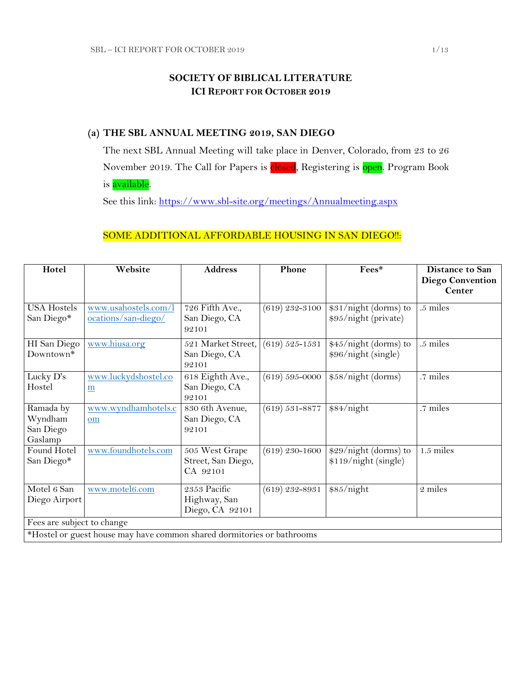## **SOCIETY OF BIBLICAL LITERATURE ICI REPORT FOR OCTOBER 2019**

## **(a) THE SBL ANNUAL MEETING 2019, SAN DIEGO**

The next SBL Annual Meeting will take place in Denver, Colorado, from 23 to 26 November 2019. The Call for Papers is closed, Registering is open. Program Book is available.

See this link:<https://www.sbl-site.org/meetings/Annualmeeting.aspx>

## SOME ADDITIONAL AFFORDABLE HOUSING IN SAN DIEGO !!:

| Hotel                                                                  | Website                                     | <b>Address</b>                                   | Phone              | Fees*                                         | <b>Distance to San</b><br><b>Diego Convention</b> |
|------------------------------------------------------------------------|---------------------------------------------|--------------------------------------------------|--------------------|-----------------------------------------------|---------------------------------------------------|
|                                                                        |                                             |                                                  |                    |                                               | <b>Center</b>                                     |
| <b>USA Hostels</b><br>San Diego*                                       | www.usahostels.com/l<br>ocations/san-diego/ | 726 Fifth Ave.,<br>San Diego, CA<br>92101        | $(619)$ 232-3100   | \$31/night (dorms) to<br>\$95/night (private) | .5 miles                                          |
| HI San Diego<br>Downtown <sup>*</sup>                                  | www.hiusa.org                               | 521 Market Street,<br>San Diego, CA<br>92101     | $(619) 525 - 1531$ | \$45/night (dorms) to<br>\$96/night (single)  | .5 miles                                          |
| Lucky D's<br>Hostel                                                    | www.luckydshostel.co<br>$\underline{m}$     | 618 Eighth Ave.,<br>San Diego, CA<br>92101       | $(619) 595 - 0000$ | \$58/night (dorms)                            | .7 miles                                          |
| Ramada by<br>Wyndham<br>San Diego<br>Gaslamp                           | www.wyndhamhotels.c<br>om                   | 830 6th Avenue,<br>San Diego, CA<br>92101        | $(619) 531 - 8877$ | \$84/night                                    | .7 miles                                          |
| Found Hotel<br>San Diego*                                              | www.foundhotels.com                         | 505 West Grape<br>Street, San Diego,<br>CA 92101 | $(619)$ 230-1600   | \$29/night (dorms) to<br>\$119/night (single) | $1.5$ miles                                       |
| Motel 6 San<br>Diego Airport                                           | www.motel6.com                              | 2353 Pacific<br>Highway, San<br>Diego, CA 92101  | $(619)$ 232-8931   | \$85/night                                    | 2 miles                                           |
| Fees are subject to change                                             |                                             |                                                  |                    |                                               |                                                   |
| *Hostel or guest house may have common shared dormitories or bathrooms |                                             |                                                  |                    |                                               |                                                   |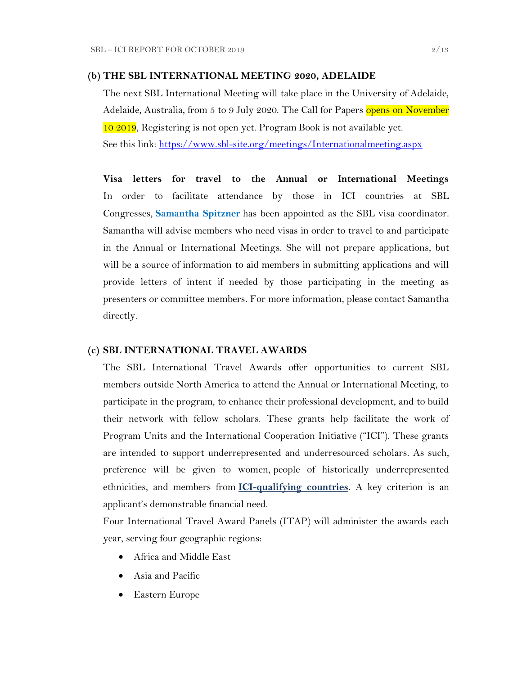#### **(b) THE SBL INTERNATIONAL MEETING 2020, ADELAIDE**

The next SBL International Meeting will take place in the University of Adelaide, Adelaide, Australia, from 5 to 9 July 2020. The Call for Papers opens on November 10 2019, Registering is not open yet. Program Book is not available yet. See this link:<https://www.sbl-site.org/meetings/Internationalmeeting.aspx>

**Visa letters for travel to the Annual or International Meetings** In order to facilitate attendance by those in ICI countries at SBL Congresses, **[Samantha Spitzner](mailto:samantha.spitzner@sbl-site.org)** has been appointed as the SBL visa coordinator. Samantha will advise members who need visas in order to travel to and participate in the Annual or International Meetings. She will not prepare applications, but will be a source of information to aid members in submitting applications and will provide letters of intent if needed by those participating in the meeting as presenters or committee members. For more information, please contact Samantha directly.

#### **(c) SBL INTERNATIONAL TRAVEL AWARDS**

The SBL International Travel Awards offer opportunities to current SBL members outside North America to attend the Annual or International Meeting, to participate in the program, to enhance their professional development, and to build their network with fellow scholars. These grants help facilitate the work of Program Units and the International Cooperation Initiative ("ICI"). These grants are intended to support underrepresented and underresourced scholars. As such, preference will be given to women, people of historically underrepresented ethnicities, and members from **[ICI-qualifying countries](https://www.sbl-site.org/assets/pdfs/ICIcountries.pdf)**. A key criterion is an applicant's demonstrable financial need.

Four International Travel Award Panels (ITAP) will administer the awards each year, serving four geographic regions:

- Africa and Middle East
- Asia and Pacific
- Eastern Europe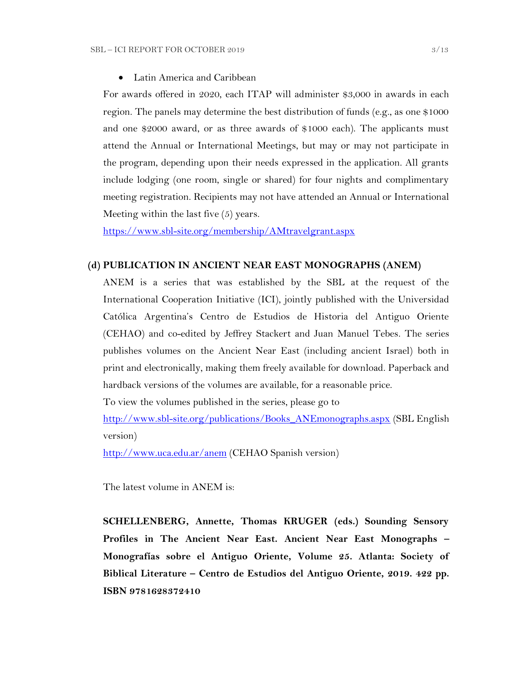Latin America and Caribbean

For awards offered in 2020, each ITAP will administer \$3,000 in awards in each region. The panels may determine the best distribution of funds (e.g., as one \$1000 and one \$2000 award, or as three awards of \$1000 each). The applicants must attend the Annual or International Meetings, but may or may not participate in the program, depending upon their needs expressed in the application. All grants include lodging (one room, single or shared) for four nights and complimentary meeting registration. Recipients may not have attended an Annual or International Meeting within the last five (5) years.

<https://www.sbl-site.org/membership/AMtravelgrant.aspx>

## **(d) PUBLICATION IN [ANCIENT NEAR EAST MONOGRAPHS](http://www.sbl-site.org/publications/Books_ANEmonographs.aspx) (ANEM)**

ANEM is a series that was established by the SBL at the request of the International Cooperation Initiative (ICI), jointly published with the Universidad Católica Argentina's Centro de Estudios de Historia del Antiguo Oriente (CEHAO) and co-edited by Jeffrey Stackert and Juan Manuel Tebes. The series publishes volumes on the Ancient Near East (including ancient Israel) both in print and electronically, making them freely available for download. Paperback and hardback versions of the volumes are available, for a reasonable price.

To view the volumes published in the series, please go to

[http://www.sbl-site.org/publications/Books\\_ANEmonographs.aspx](http://www.sbl-site.org/publications/Books_ANEmonographs.aspx) (SBL English version)

<http://www.uca.edu.ar/anem> (CEHAO Spanish version)

The latest volume in ANEM is:

**SCHELLENBERG, Annette, Thomas KRUGER (eds.) Sounding Sensory Profiles in The Ancient Near East. Ancient Near East Monographs – Monografías sobre el Antiguo Oriente, Volume 25. Atlanta: Society of Biblical Literature – Centro de Estudios del Antiguo Oriente, 2019. 422 pp. ISBN 9781628372410**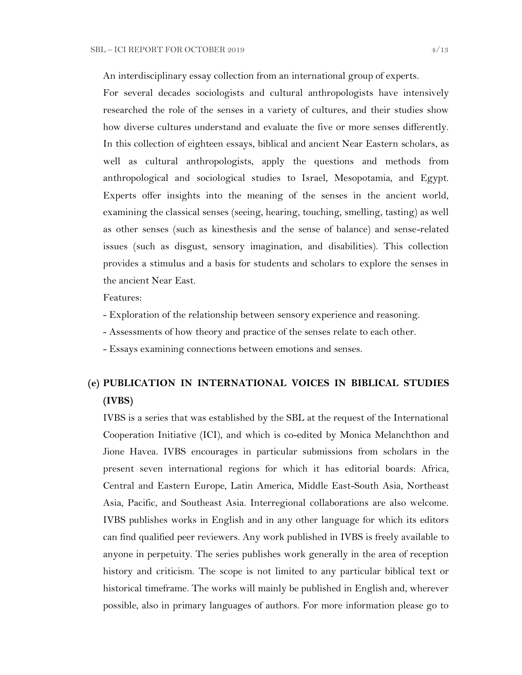An interdisciplinary essay collection from an international group of experts.

For several decades sociologists and cultural anthropologists have intensively researched the role of the senses in a variety of cultures, and their studies show how diverse cultures understand and evaluate the five or more senses differently. In this collection of eighteen essays, biblical and ancient Near Eastern scholars, as well as cultural anthropologists, apply the questions and methods from anthropological and sociological studies to Israel, Mesopotamia, and Egypt. Experts offer insights into the meaning of the senses in the ancient world, examining the classical senses (seeing, hearing, touching, smelling, tasting) as well as other senses (such as kinesthesis and the sense of balance) and sense-related issues (such as disgust, sensory imagination, and disabilities). This collection provides a stimulus and a basis for students and scholars to explore the senses in the ancient Near East.

Features:

- Exploration of the relationship between sensory experience and reasoning.
- Assessments of how theory and practice of the senses relate to each other.
- Essays examining connections between emotions and senses.

## **(e) PUBLICATION IN INTERNATIONAL VOICES IN BIBLICAL STUDIES (IVBS)**

IVBS is a series that was established by the SBL at the request of the International Cooperation Initiative (ICI), and which is co-edited by Monica Melanchthon and Jione Havea. IVBS encourages in particular submissions from scholars in the present seven international regions for which it has editorial boards: Africa, Central and Eastern Europe, Latin America, Middle East-South Asia, Northeast Asia, Pacific, and Southeast Asia. Interregional collaborations are also welcome. IVBS publishes works in English and in any other language for which its editors can find qualified peer reviewers. Any work published in IVBS is freely available to anyone in perpetuity. The series publishes work generally in the area of reception history and criticism. The scope is not limited to any particular biblical text or historical timeframe. The works will mainly be published in English and, wherever possible, also in primary languages of authors. For more information please go to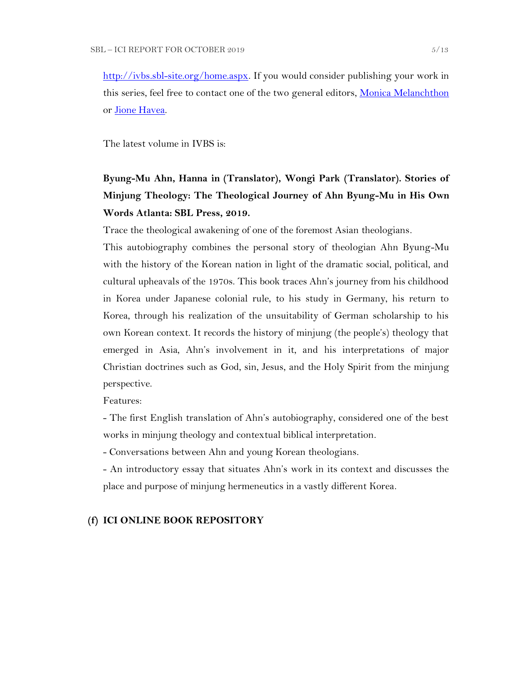[http://ivbs.sbl-site.org/home.aspx.](http://ivbs.sbl-site.org/home.aspx) If you would consider publishing your work in this series, feel free to contact one of the two general editors, [Monica Melanchthon](mailto:ivbs2010@gmail.com) or [Jione Havea.](mailto:jioneh@nsw.uca.org.au)

The latest volume in IVBS is:

# **Byung-Mu Ahn, Hanna in (Translator), Wongi Park (Translator). Stories of Minjung Theology: The Theological Journey of Ahn Byung-Mu in His Own Words Atlanta: SBL Press, 2019.**

Trace the theological awakening of one of the foremost Asian theologians.

This autobiography combines the personal story of theologian Ahn Byung-Mu with the history of the Korean nation in light of the dramatic social, political, and cultural upheavals of the 1970s. This book traces Ahn's journey from his childhood in Korea under Japanese colonial rule, to his study in Germany, his return to Korea, through his realization of the unsuitability of German scholarship to his own Korean context. It records the history of minjung (the people's) theology that emerged in Asia, Ahn's involvement in it, and his interpretations of major Christian doctrines such as God, sin, Jesus, and the Holy Spirit from the minjung perspective.

Features:

- The first English translation of Ahn's autobiography, considered one of the best works in minjung theology and contextual biblical interpretation.

- Conversations between Ahn and young Korean theologians.

- An introductory essay that situates Ahn's work in its context and discusses the place and purpose of minjung hermeneutics in a vastly different Korea.

## **(f) ICI ONLINE BOOK REPOSITORY**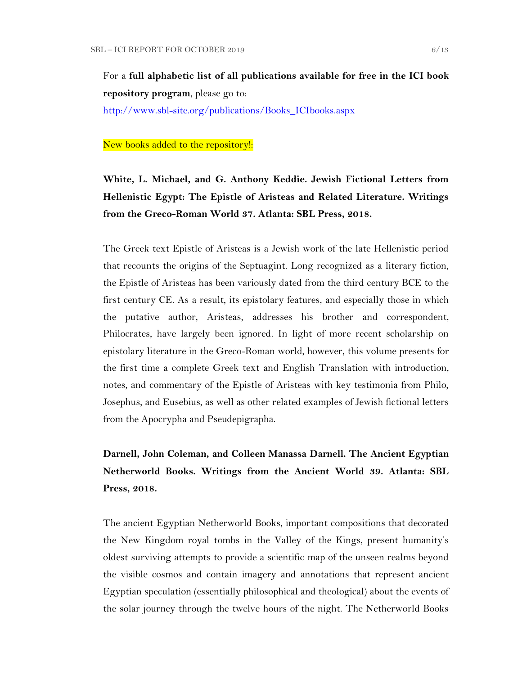For a **full alphabetic list of all publications available for free in the ICI book repository program**, please go to:

[http://www.sbl-site.org/publications/Books\\_ICIbooks.aspx](http://www.sbl-site.org/publications/Books_ICIbooks.aspx)

#### New books added to the repository!:

# **White, L. Michael, and G. Anthony Keddie. Jewish Fictional Letters from Hellenistic Egypt: The Epistle of Aristeas and Related Literature. Writings from the Greco-Roman World 37. Atlanta: SBL Press, 2018.**

The Greek text Epistle of Aristeas is a Jewish work of the late Hellenistic period that recounts the origins of the Septuagint. Long recognized as a literary fiction, the Epistle of Aristeas has been variously dated from the third century BCE to the first century CE. As a result, its epistolary features, and especially those in which the putative author, Aristeas, addresses his brother and correspondent, Philocrates, have largely been ignored. In light of more recent scholarship on epistolary literature in the Greco-Roman world, however, this volume presents for the first time a complete Greek text and English Translation with introduction, notes, and commentary of the Epistle of Aristeas with key testimonia from Philo, Josephus, and Eusebius, as well as other related examples of Jewish fictional letters from the Apocrypha and Pseudepigrapha.

# **Darnell, John Coleman, and Colleen Manassa Darnell. The Ancient Egyptian Netherworld Books. Writings from the Ancient World 39. Atlanta: SBL Press, 2018.**

The ancient Egyptian Netherworld Books, important compositions that decorated the New Kingdom royal tombs in the Valley of the Kings, present humanity's oldest surviving attempts to provide a scientific map of the unseen realms beyond the visible cosmos and contain imagery and annotations that represent ancient Egyptian speculation (essentially philosophical and theological) about the events of the solar journey through the twelve hours of the night. The Netherworld Books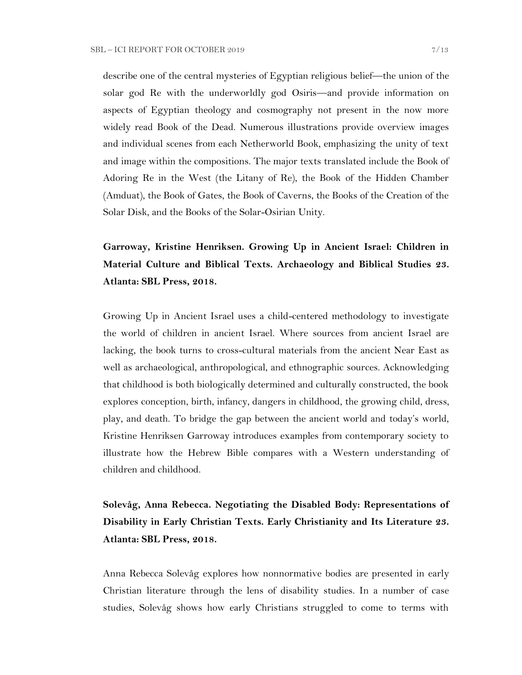describe one of the central mysteries of Egyptian religious belief—the union of the solar god Re with the underworldly god Osiris—and provide information on aspects of Egyptian theology and cosmography not present in the now more widely read Book of the Dead. Numerous illustrations provide overview images and individual scenes from each Netherworld Book, emphasizing the unity of text and image within the compositions. The major texts translated include the Book of Adoring Re in the West (the Litany of Re), the Book of the Hidden Chamber (Amduat), the Book of Gates, the Book of Caverns, the Books of the Creation of the Solar Disk, and the Books of the Solar-Osirian Unity.

**Garroway, Kristine Henriksen. Growing Up in Ancient Israel: Children in Material Culture and Biblical Texts. Archaeology and Biblical Studies 23. Atlanta: SBL Press, 2018.** 

Growing Up in Ancient Israel uses a child-centered methodology to investigate the world of children in ancient Israel. Where sources from ancient Israel are lacking, the book turns to cross-cultural materials from the ancient Near East as well as archaeological, anthropological, and ethnographic sources. Acknowledging that childhood is both biologically determined and culturally constructed, the book explores conception, birth, infancy, dangers in childhood, the growing child, dress, play, and death. To bridge the gap between the ancient world and today's world, Kristine Henriksen Garroway introduces examples from contemporary society to illustrate how the Hebrew Bible compares with a Western understanding of children and childhood.

**Solevåg, Anna Rebecca. Negotiating the Disabled Body: Representations of Disability in Early Christian Texts. Early Christianity and Its Literature 23. Atlanta: SBL Press, 2018.** 

Anna Rebecca Solevåg explores how nonnormative bodies are presented in early Christian literature through the lens of disability studies. In a number of case studies, Solevåg shows how early Christians struggled to come to terms with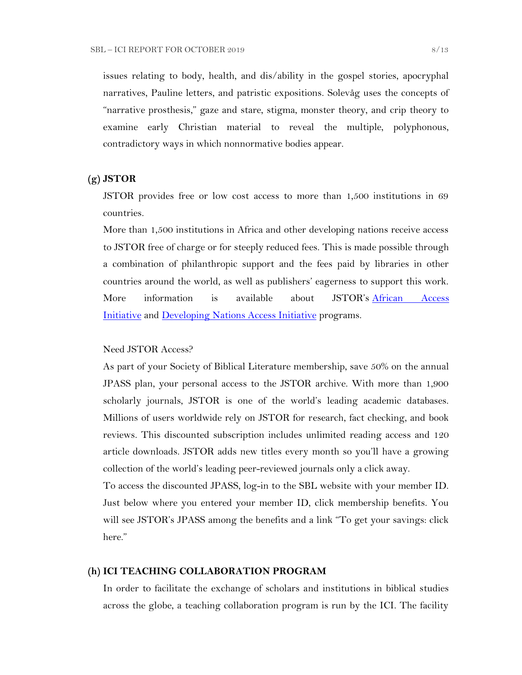issues relating to body, health, and dis/ability in the gospel stories, apocryphal narratives, Pauline letters, and patristic expositions. Solevåg uses the concepts of "narrative prosthesis," gaze and stare, stigma, monster theory, and crip theory to examine early Christian material to reveal the multiple, polyphonous, contradictory ways in which nonnormative bodies appear.

### **(g) JSTOR**

JSTOR provides free or low cost access to more than 1,500 institutions in 69 countries.

More than 1,500 institutions in Africa and other developing nations receive access to JSTOR free of charge or for steeply reduced fees. This is made possible through a combination of philanthropic support and the fees paid by libraries in other countries around the world, as well as publishers' eagerness to support this work. More information is available about JSTOR's [African Access](http://about.jstor.org/libraries/african-access-initiative)  [Initiative](http://about.jstor.org/libraries/african-access-initiative) and [Developing Nations Access Initiative](http://about.jstor.org/libraries/developing-nations-access-initiative) programs.

### Need JSTOR Access?

As part of your Society of Biblical Literature membership, save 50% on the annual JPASS plan, your personal access to the JSTOR archive. With more than 1,900 scholarly journals, JSTOR is one of the world's leading academic databases. Millions of users worldwide rely on JSTOR for research, fact checking, and book reviews. This discounted subscription includes unlimited reading access and 120 article downloads. JSTOR adds new titles every month so you'll have a growing collection of the world's leading peer-reviewed journals only a click away.

To access the discounted JPASS, log-in to the SBL website with your member ID. Just below where you entered your member ID, click membership benefits. You will see JSTOR's JPASS among the benefits and a link "To get your savings: click here."

### **(h) ICI TEACHING COLLABORATION PROGRAM**

In order to facilitate the exchange of scholars and institutions in biblical studies across the globe, a teaching collaboration program is run by the ICI. The facility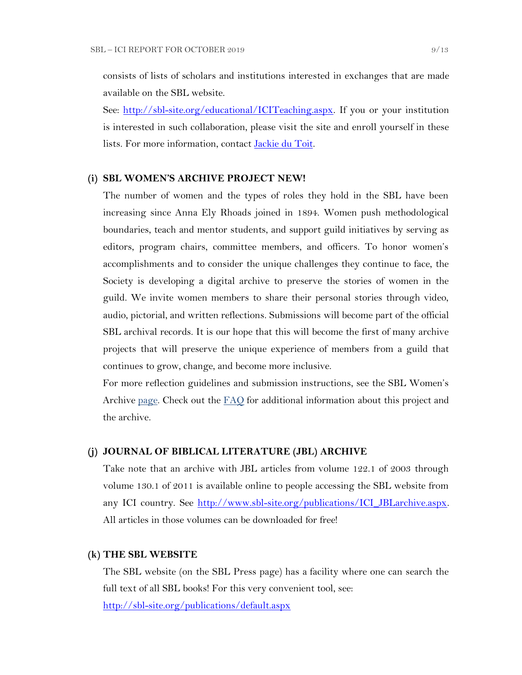consists of lists of scholars and institutions interested in exchanges that are made available on the SBL website.

See: [http://sbl-site.org/educational/ICITeaching.aspx.](http://sbl-site.org/educational/ICITeaching.aspx) If you or your institution is interested in such collaboration, please visit the site and enroll yourself in these lists. For more information, contact **Jackie du Toit**.

## **(i) SBL WOMEN'S ARCHIVE PROJECT NEW!**

The number of women and the types of roles they hold in the SBL have been increasing since Anna Ely Rhoads joined in 1894. Women push methodological boundaries, teach and mentor students, and support guild initiatives by serving as editors, program chairs, committee members, and officers. To honor women's accomplishments and to consider the unique challenges they continue to face, the Society is developing a digital archive to preserve the stories of women in the guild. We invite women members to share their personal stories through video, audio, pictorial, and written reflections. Submissions will become part of the official SBL archival records. It is our hope that this will become the first of many archive projects that will preserve the unique experience of members from a guild that continues to grow, change, and become more inclusive.

For more reflection guidelines and submission instructions, see the SBL Women's Archive [page.](https://nam04.safelinks.protection.outlook.com/?url=http%3A%2F%2Fr20.rs6.net%2Ftn.jsp%3Ff%3D001UxB5SQIuVUKz9COuM3IsPWnWKqoK39z2VG4xqTm8KZlA_ZE17Z7Fa2PmCgTjMMxZJIpcAIjlvUF-irxd2rwYbEMLTrV0K_WM51IpZKkkhMDgd8_9aVPRw3rlId_KW8E944PO6OC3qczzRWSY7H-TuxvuErx13KKirGuJ38oWvop66nka2FiuLpzq0iT-us5e%26c%3DQ2tCZ6oCYeHLWgeasA7YFffpqmCkeEopn2jFFHww1HRSHdGZkow9Cg%3D%3D%26ch%3Dndma_uDxhxPhjRABmkw-gBQiRkfwAotBZK8Ps3z0wu4oDwHg9u9sLg%3D%3D&data=02%7C01%7CWALFORD_ND%40mercer.edu%7Cf513cd74ff8548bede3608d6b5da7f75%7C4fb34d2889b247109bcc30824d17fc30%7C0%7C0%7C636896347381808305&sdata=tiSsidRd6oL6K11UbD%2BSSPY7fRIjvdDnpsEU3BWCZRg%3D&reserved=0) Check out the [FAQ](http://r20.rs6.net/tn.jsp?f=001daD3lBrhj8ZbS8-GLHmkkfCXBAC1VygxiIGaWr04TSwAe6xpaQQvNJKWplVAEpG6TEU1_8KlnBObWx0oZC8x7WoLEp77_1CFtxX0KaAFLBjOBdYTd2f5qgWSoEYDRce9P__OLb1j9qY-AF3VQc1Y44LRzHcBpPqZU-EHsK1QZTJIoW4LFbKk7i8Ng-wzmNHDH6gAjZEh02zQc7Hju5X1UnsIvXFI2f0S&c=eIPPqaSd2_Vy4YClv5OeeUxZS30eJVZ-NpEqtmoT_RO1qkg45kBI_g==&ch=TNoNbOW4OE_N3IXbNrssVzBYer7u1PunhQWZuBYieCMVeDT7hGjUZQ==) for additional information about this project and the archive.

#### **(j) JOURNAL OF BIBLICAL LITERATURE (JBL) ARCHIVE**

Take note that an archive with JBL articles from volume 122.1 of 2003 through volume 130.1 of 2011 is available online to people accessing the SBL website from any ICI country. See http://www.sbl-site.org/publications/ICI\_JBLarchive.aspx. All articles in those volumes can be downloaded for free!

### **(k) THE SBL WEBSITE**

The SBL website (on the SBL Press page) has a facility where one can search the full text of all SBL books! For this very convenient tool, see: <http://sbl-site.org/publications/default.aspx>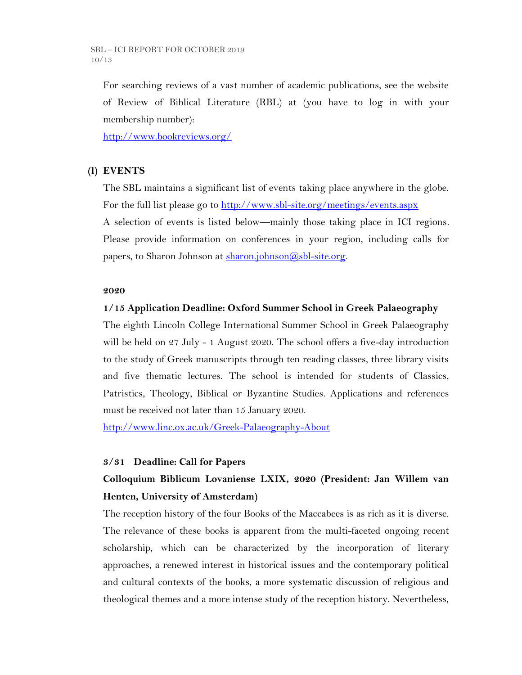SBL – ICI REPORT FOR OCTOBER 2019 10/13

For searching reviews of a vast number of academic publications, see the website of Review of Biblical Literature (RBL) at (you have to log in with your membership number):

<http://www.bookreviews.org/>

## **(l) EVENTS**

The SBL maintains a significant list of events taking place anywhere in the globe. For the full list please go to<http://www.sbl-site.org/meetings/events.aspx> A selection of events is listed below—mainly those taking place in ICI regions. Please provide information on conferences in your region, including calls for papers, to Sharon Johnson at  $\frac{\text{sharon.}(\partial s\text{bl-site.} \text{org.}}{\text{gl.}(\partial s\text{bl-site.}})$ 

## **2020**

### **1/15 Application Deadline: Oxford Summer School in Greek Palaeography**

The eighth Lincoln College International Summer School in Greek Palaeography will be held on 27 July - 1 August 2020. The school offers a five-day introduction to the study of Greek manuscripts through ten reading classes, three library visits and five thematic lectures. The school is intended for students of Classics, Patristics, Theology, Biblical or Byzantine Studies. Applications and references must be received not later than 15 January 2020.

<http://www.linc.ox.ac.uk/Greek-Palaeography-About>

#### **3/31 Deadline: Call for Papers**

## **Colloquium Biblicum Lovaniense LXIX, 2020 (President: Jan Willem van Henten, University of Amsterdam)**

The reception history of the four Books of the Maccabees is as rich as it is diverse. The relevance of these books is apparent from the multi-faceted ongoing recent scholarship, which can be characterized by the incorporation of literary approaches, a renewed interest in historical issues and the contemporary political and cultural contexts of the books, a more systematic discussion of religious and theological themes and a more intense study of the reception history. Nevertheless,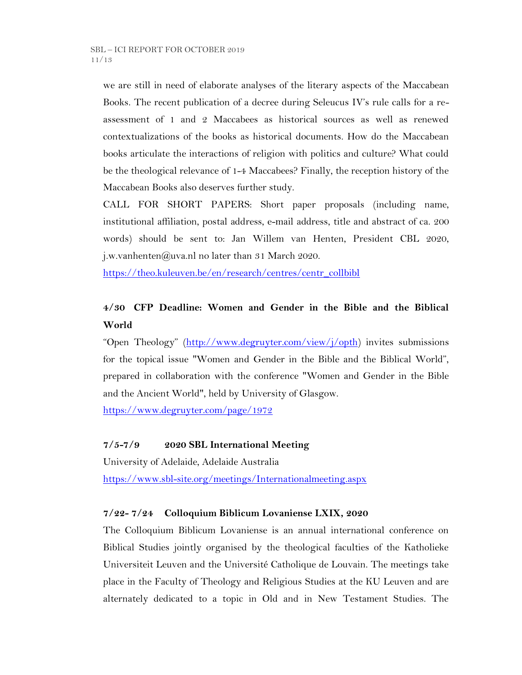we are still in need of elaborate analyses of the literary aspects of the Maccabean Books. The recent publication of a decree during Seleucus IV's rule calls for a reassessment of 1 and 2 Maccabees as historical sources as well as renewed contextualizations of the books as historical documents. How do the Maccabean books articulate the interactions of religion with politics and culture? What could be the theological relevance of 1-4 Maccabees? Finally, the reception history of the Maccabean Books also deserves further study.

CALL FOR SHORT PAPERS: Short paper proposals (including name, institutional affiliation, postal address, e-mail address, title and abstract of ca. 200 words) should be sent to: Jan Willem van Henten, President CBL 2020, j.w.vanhenten@uva.nl no later than 31 March 2020.

[https://theo.kuleuven.be/en/research/centres/centr\\_collbibl](https://theo.kuleuven.be/en/research/centres/centr_collbibl)

## **4/30 CFP Deadline: Women and Gender in the Bible and the Biblical World**

"Open Theology" ([http://www.degruyter.com/view/j/opth\)](http://www.degruyter.com/view/j/opth) invites submissions for the topical issue "Women and Gender in the Bible and the Biblical World", prepared in collaboration with the conference "Women and Gender in the Bible and the Ancient World", held by University of Glasgow.

<https://www.degruyter.com/page/1972>

## **7/5-7/9 2020 SBL International Meeting**

University of Adelaide, Adelaide Australia <https://www.sbl-site.org/meetings/Internationalmeeting.aspx>

## **7/22- 7/24 Colloquium Biblicum Lovaniense LXIX, 2020**

The Colloquium Biblicum Lovaniense is an annual international conference on Biblical Studies jointly organised by the theological faculties of the Katholieke Universiteit Leuven and the Université Catholique de Louvain. The meetings take place in the Faculty of Theology and Religious Studies at the KU Leuven and are alternately dedicated to a topic in Old and in New Testament Studies. The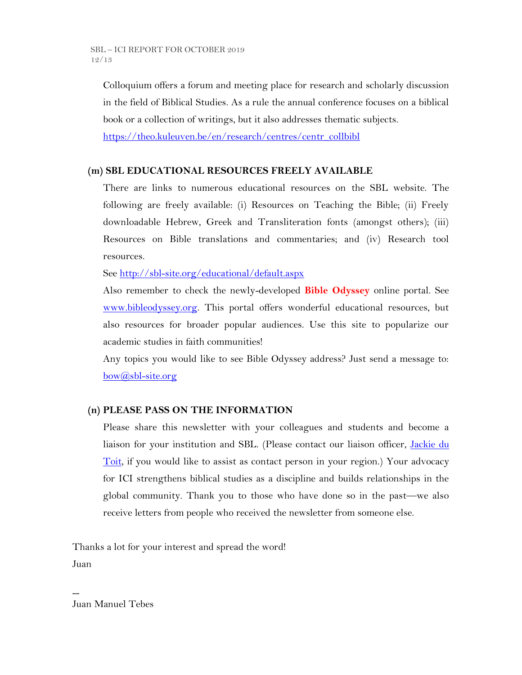Colloquium offers a forum and meeting place for research and scholarly discussion in the field of Biblical Studies. As a rule the annual conference focuses on a biblical book or a collection of writings, but it also addresses thematic subjects.

[https://theo.kuleuven.be/en/research/centres/centr\\_collbibl](https://theo.kuleuven.be/en/research/centres/centr_collbibl)

## **(m) SBL EDUCATIONAL RESOURCES FREELY AVAILABLE**

There are links to numerous educational resources on the SBL website. The following are freely available: (i) Resources on Teaching the Bible; (ii) Freely downloadable Hebrew, Greek and Transliteration fonts (amongst others); (iii) Resources on Bible translations and commentaries; and (iv) Research tool resources.

See<http://sbl-site.org/educational/default.aspx>

Also remember to check the newly-developed **Bible Odyssey** online portal. See [www.bibleodyssey.org.](http://www.bibleodyssey.org/) This portal offers wonderful educational resources, but also resources for broader popular audiences. Use this site to popularize our academic studies in faith communities!

Any topics you would like to see Bible Odyssey address? Just send a message to: [bow@sbl-site.org](mailto:bow@sbl-site.org)

## **(n) PLEASE PASS ON THE INFORMATION**

Please share this newsletter with your colleagues and students and become a liaison for your institution and SBL. (Please contact our liaison officer, [Jackie du](mailto:dutoitjs@ufs.ac.za)  [Toit,](mailto:dutoitjs@ufs.ac.za) if you would like to assist as contact person in your region.) Your advocacy for ICI strengthens biblical studies as a discipline and builds relationships in the global community. Thank you to those who have done so in the past—we also receive letters from people who received the newsletter from someone else.

Thanks a lot for your interest and spread the word! Juan